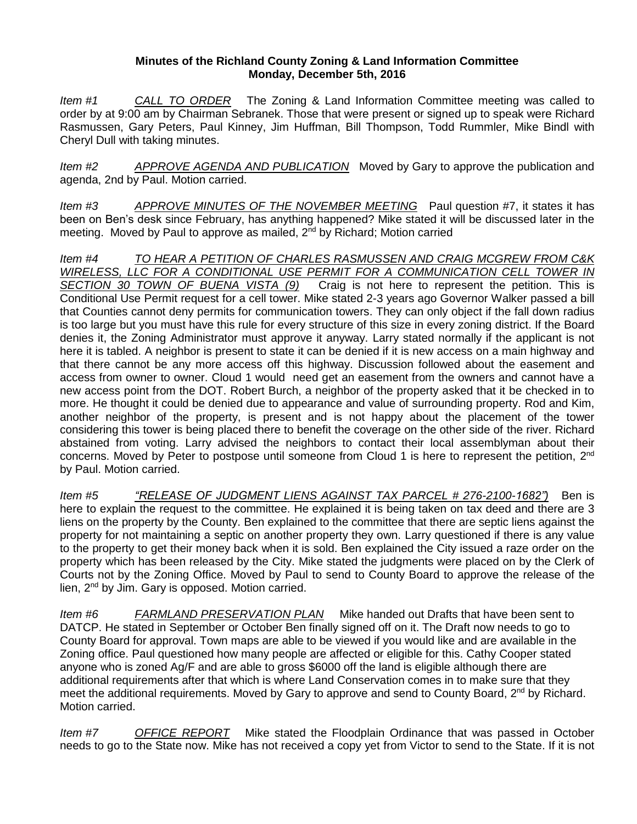## **Minutes of the Richland County Zoning & Land Information Committee Monday, December 5th, 2016**

*Item #1 CALL TO ORDER* The Zoning & Land Information Committee meeting was called to order by at 9:00 am by Chairman Sebranek. Those that were present or signed up to speak were Richard Rasmussen, Gary Peters, Paul Kinney, Jim Huffman, Bill Thompson, Todd Rummler, Mike Bindl with Cheryl Dull with taking minutes.

*Item #2 APPROVE AGENDA AND PUBLICATION* Moved by Gary to approve the publication and agenda, 2nd by Paul. Motion carried.

*Item #3 APPROVE MINUTES OF THE NOVEMBER MEETING* Paul question #7, it states it has been on Ben's desk since February, has anything happened? Mike stated it will be discussed later in the meeting. Moved by Paul to approve as mailed, 2<sup>nd</sup> by Richard; Motion carried

*Item #4 TO HEAR A PETITION OF CHARLES RASMUSSEN AND CRAIG MCGREW FROM C&K WIRELESS, LLC FOR A CONDITIONAL USE PERMIT FOR A COMMUNICATION CELL TOWER IN SECTION 30 TOWN OF BUENA VISTA (9)* Craig is not here to represent the petition. This is Conditional Use Permit request for a cell tower. Mike stated 2-3 years ago Governor Walker passed a bill that Counties cannot deny permits for communication towers. They can only object if the fall down radius is too large but you must have this rule for every structure of this size in every zoning district. If the Board denies it, the Zoning Administrator must approve it anyway. Larry stated normally if the applicant is not here it is tabled. A neighbor is present to state it can be denied if it is new access on a main highway and that there cannot be any more access off this highway. Discussion followed about the easement and access from owner to owner. Cloud 1 would need get an easement from the owners and cannot have a new access point from the DOT. Robert Burch, a neighbor of the property asked that it be checked in to more. He thought it could be denied due to appearance and value of surrounding property. Rod and Kim, another neighbor of the property, is present and is not happy about the placement of the tower considering this tower is being placed there to benefit the coverage on the other side of the river. Richard abstained from voting. Larry advised the neighbors to contact their local assemblyman about their concerns. Moved by Peter to postpose until someone from Cloud 1 is here to represent the petition, 2<sup>nd</sup> by Paul. Motion carried.

*Item #5 "RELEASE OF JUDGMENT LIENS AGAINST TAX PARCEL # 276-2100-1682")* Ben is here to explain the request to the committee. He explained it is being taken on tax deed and there are 3 liens on the property by the County. Ben explained to the committee that there are septic liens against the property for not maintaining a septic on another property they own. Larry questioned if there is any value to the property to get their money back when it is sold. Ben explained the City issued a raze order on the property which has been released by the City. Mike stated the judgments were placed on by the Clerk of Courts not by the Zoning Office. Moved by Paul to send to County Board to approve the release of the lien,  $2^{nd}$  by Jim. Gary is opposed. Motion carried.

*Item #6 FARMLAND PRESERVATION PLAN* Mike handed out Drafts that have been sent to DATCP. He stated in September or October Ben finally signed off on it. The Draft now needs to go to County Board for approval. Town maps are able to be viewed if you would like and are available in the Zoning office. Paul questioned how many people are affected or eligible for this. Cathy Cooper stated anyone who is zoned Ag/F and are able to gross \$6000 off the land is eligible although there are additional requirements after that which is where Land Conservation comes in to make sure that they meet the additional requirements. Moved by Gary to approve and send to County Board,  $2^{nd}$  by Richard. Motion carried.

*Item #7 OFFICE REPORT* Mike stated the Floodplain Ordinance that was passed in October needs to go to the State now. Mike has not received a copy yet from Victor to send to the State. If it is not